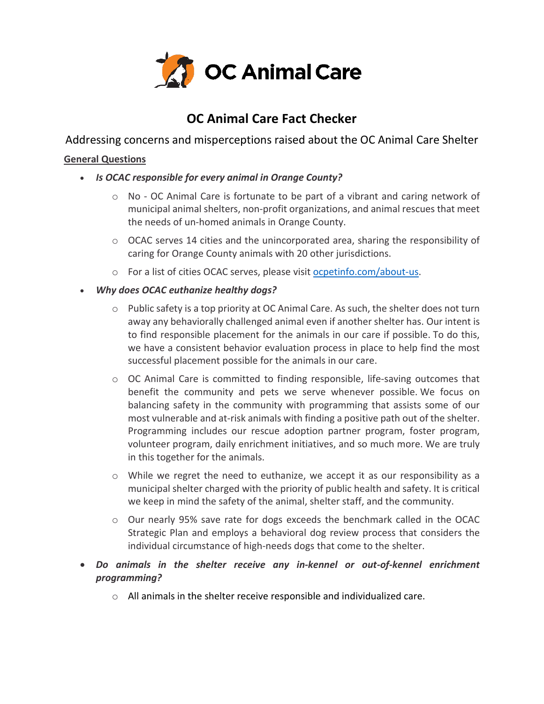

# **OC Animal Care Fact Checker**

Addressing concerns and misperceptions raised about the OC Animal Care Shelter

## **General Questions**

- *Is OCAC responsible for every animal in Orange County?*
	- $\circ$  No OC Animal Care is fortunate to be part of a vibrant and caring network of municipal animal shelters, non-profit organizations, and animal rescues that meet the needs of un-homed animals in Orange County.
	- $\circ$  OCAC serves 14 cities and the unincorporated area, sharing the responsibility of caring for Orange County animals with 20 other jurisdictions.
	- o For a list of cities OCAC serves, please visit [ocpetinfo.com/about-us.](https://www.ocpetinfo.com/about-us)
- *Why does OCAC euthanize healthy dogs?*
	- $\circ$  Public safety is a top priority at OC Animal Care. As such, the shelter does not turn away any behaviorally challenged animal even if another shelter has. Our intent is to find responsible placement for the animals in our care if possible. To do this, we have a consistent behavior evaluation process in place to help find the most successful placement possible for the animals in our care.
	- $\circ$  OC Animal Care is committed to finding responsible, life-saving outcomes that benefit the community and pets we serve whenever possible. We focus on balancing safety in the community with programming that assists some of our most vulnerable and at-risk animals with finding a positive path out of the shelter. Programming includes our rescue adoption partner program, foster program, volunteer program, daily enrichment initiatives, and so much more. We are truly in this together for the animals.
	- $\circ$  While we regret the need to euthanize, we accept it as our responsibility as a municipal shelter charged with the priority of public health and safety. It is critical we keep in mind the safety of the animal, shelter staff, and the community.
	- o Our nearly 95% save rate for dogs exceeds the benchmark called in the OCAC Strategic Plan and employs a behavioral dog review process that considers the individual circumstance of high-needs dogs that come to the shelter.
- *Do animals in the shelter receive any in-kennel or out-of-kennel enrichment programming?*
	- o All animals in the shelter receive responsible and individualized care.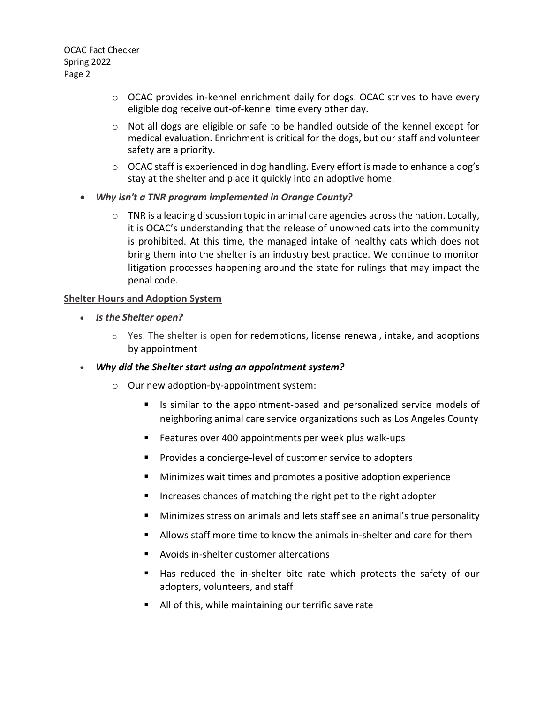- $\circ$  OCAC provides in-kennel enrichment daily for dogs. OCAC strives to have every eligible dog receive out-of-kennel time every other day.
- $\circ$  Not all dogs are eligible or safe to be handled outside of the kennel except for medical evaluation. Enrichment is critical for the dogs, but our staff and volunteer safety are a priority.
- $\circ$  OCAC staff is experienced in dog handling. Every effort is made to enhance a dog's stay at the shelter and place it quickly into an adoptive home.
- *Why isn't a TNR program implemented in Orange County?*
	- o TNR is a leading discussion topic in animal care agencies across the nation. Locally, it is OCAC's understanding that the release of unowned cats into the community is prohibited. At this time, the managed intake of healthy cats which does not bring them into the shelter is an industry best practice. We continue to monitor litigation processes happening around the state for rulings that may impact the penal code.

#### **Shelter Hours and Adoption System**

- *Is the Shelter open?*
	- $\circ$  Yes. The shelter is open for redemptions, license renewal, intake, and adoptions by appointment
- *Why did the Shelter start using an appointment system?*
	- o Our new adoption-by-appointment system:
		- Is similar to the appointment-based and personalized service models of neighboring animal care service organizations such as Los Angeles County
		- Features over 400 appointments per week plus walk-ups
		- Provides a concierge-level of customer service to adopters
		- Minimizes wait times and promotes a positive adoption experience
		- Increases chances of matching the right pet to the right adopter
		- Minimizes stress on animals and lets staff see an animal's true personality
		- Allows staff more time to know the animals in-shelter and care for them
		- Avoids in-shelter customer altercations
		- Has reduced the in-shelter bite rate which protects the safety of our adopters, volunteers, and staff
		- All of this, while maintaining our terrific save rate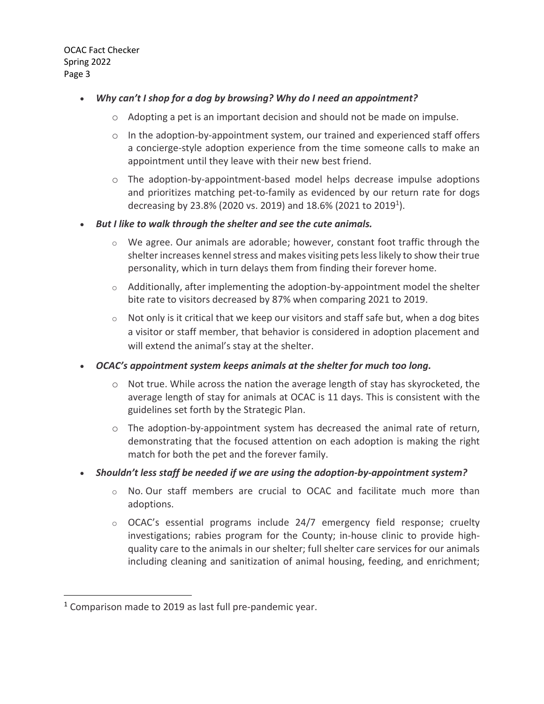### • *Why can't I shop for a dog by browsing? Why do I need an appointment?*

- o Adopting a pet is an important decision and should not be made on impulse.
- $\circ$  In the adoption-by-appointment system, our trained and experienced staff offers a concierge-style adoption experience from the time someone calls to make an appointment until they leave with their new best friend.
- $\circ$  The adoption-by-appointment-based model helps decrease impulse adoptions and prioritizes matching pet-to-family as evidenced by our return rate for dogs decreasing by 23.8% (2020 vs. 2019) and 18.6% (2021 to 2019<sup>1</sup>).

#### • *But I like to walk through the shelter and see the cute animals.*

- $\circ$  We agree. Our animals are adorable; however, constant foot traffic through the shelter increases kennel stress and makes visiting pets less likely to show their true personality, which in turn delays them from finding their forever home.
- $\circ$  Additionally, after implementing the adoption-by-appointment model the shelter bite rate to visitors decreased by 87% when comparing 2021 to 2019.
- $\circ$  Not only is it critical that we keep our visitors and staff safe but, when a dog bites a visitor or staff member, that behavior is considered in adoption placement and will extend the animal's stay at the shelter.

## • *OCAC's appointment system keeps animals at the shelter for much too long.*

- $\circ$  Not true. While across the nation the average length of stay has skyrocketed, the average length of stay for animals at OCAC is 11 days. This is consistent with the guidelines set forth by the Strategic Plan.
- $\circ$  The adoption-by-appointment system has decreased the animal rate of return, demonstrating that the focused attention on each adoption is making the right match for both the pet and the forever family.
- *Shouldn't less staff be needed if we are using the adoption-by-appointment system?*
	- o No. Our staff members are crucial to OCAC and facilitate much more than adoptions.
	- $\circ$  OCAC's essential programs include 24/7 emergency field response; cruelty investigations; rabies program for the County; in-house clinic to provide highquality care to the animals in our shelter; full shelter care services for our animals including cleaning and sanitization of animal housing, feeding, and enrichment;

<sup>1</sup> Comparison made to 2019 as last full pre-pandemic year.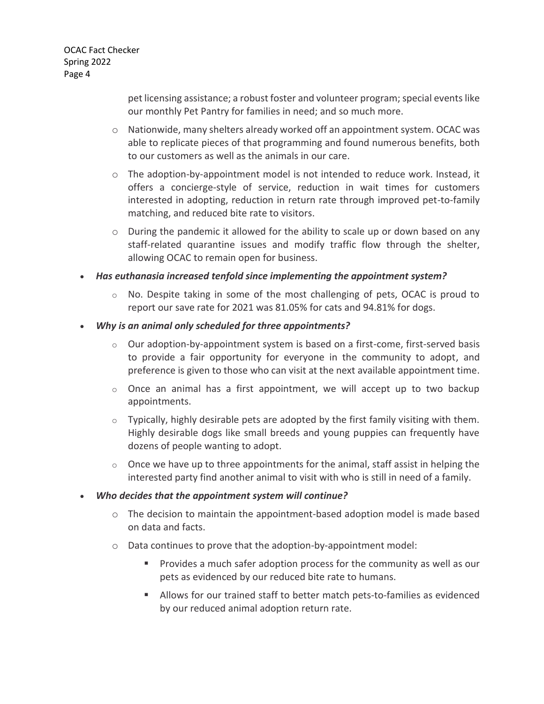> pet licensing assistance; a robust foster and volunteer program; special events like our monthly Pet Pantry for families in need; and so much more.

- $\circ$  Nationwide, many shelters already worked off an appointment system. OCAC was able to replicate pieces of that programming and found numerous benefits, both to our customers as well as the animals in our care.
- $\circ$  The adoption-by-appointment model is not intended to reduce work. Instead, it offers a concierge-style of service, reduction in wait times for customers interested in adopting, reduction in return rate through improved pet-to-family matching, and reduced bite rate to visitors.
- $\circ$  During the pandemic it allowed for the ability to scale up or down based on any staff-related quarantine issues and modify traffic flow through the shelter, allowing OCAC to remain open for business.
- *Has euthanasia increased tenfold since implementing the appointment system?* 
	- $\circ$  No. Despite taking in some of the most challenging of pets, OCAC is proud to report our save rate for 2021 was 81.05% for cats and 94.81% for dogs.
- *Why is an animal only scheduled for three appointments?*
	- $\circ$  Our adoption-by-appointment system is based on a first-come, first-served basis to provide a fair opportunity for everyone in the community to adopt, and preference is given to those who can visit at the next available appointment time.
	- $\circ$  Once an animal has a first appointment, we will accept up to two backup appointments.
	- $\circ$  Typically, highly desirable pets are adopted by the first family visiting with them. Highly desirable dogs like small breeds and young puppies can frequently have dozens of people wanting to adopt.
	- $\circ$  Once we have up to three appointments for the animal, staff assist in helping the interested party find another animal to visit with who is still in need of a family.
- *Who decides that the appointment system will continue?*
	- $\circ$  The decision to maintain the appointment-based adoption model is made based on data and facts.
	- o Data continues to prove that the adoption-by-appointment model:
		- Provides a much safer adoption process for the community as well as our pets as evidenced by our reduced bite rate to humans.
		- Allows for our trained staff to better match pets-to-families as evidenced by our reduced animal adoption return rate.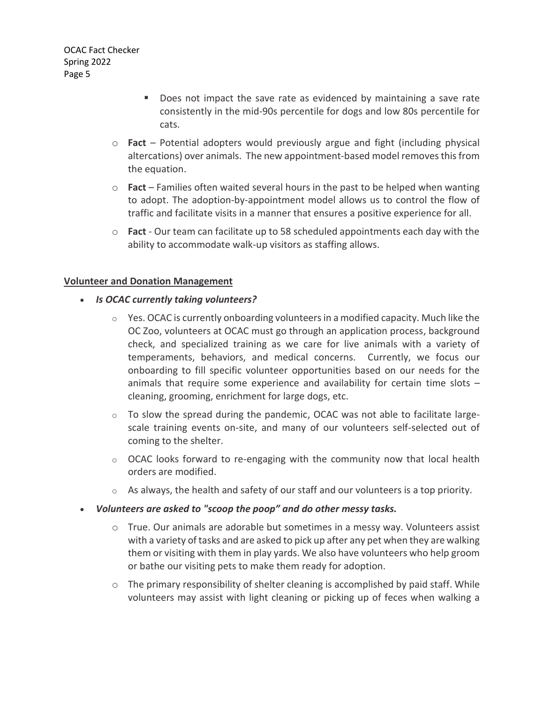- Does not impact the save rate as evidenced by maintaining a save rate consistently in the mid-90s percentile for dogs and low 80s percentile for cats.
- o **Fact** Potential adopters would previously argue and fight (including physical altercations) over animals. The new appointment-based model removesthisfrom the equation.
- o **Fact** Families often waited several hours in the past to be helped when wanting to adopt. The adoption-by-appointment model allows us to control the flow of traffic and facilitate visits in a manner that ensures a positive experience for all.
- o **Fact** Our team can facilitate up to 58 scheduled appointments each day with the ability to accommodate walk-up visitors as staffing allows.

#### **Volunteer and Donation Management**

- *Is OCAC currently taking volunteers?* 
	- $\circ$  Yes. OCAC is currently onboarding volunteers in a modified capacity. Much like the OC Zoo, volunteers at OCAC must go through an application process, background check, and specialized training as we care for live animals with a variety of temperaments, behaviors, and medical concerns. Currently, we focus our onboarding to fill specific volunteer opportunities based on our needs for the animals that require some experience and availability for certain time slots – cleaning, grooming, enrichment for large dogs, etc.
	- $\circ$  To slow the spread during the pandemic, OCAC was not able to facilitate largescale training events on-site, and many of our volunteers self-selected out of coming to the shelter.
	- $\circ$  OCAC looks forward to re-engaging with the community now that local health orders are modified.
	- $\circ$  As always, the health and safety of our staff and our volunteers is a top priority.
- *Volunteers are asked to "scoop the poop" and do other messy tasks.*
	- $\circ$  True. Our animals are adorable but sometimes in a messy way. Volunteers assist with a variety of tasks and are asked to pick up after any pet when they are walking them or visiting with them in play yards. We also have volunteers who help groom or bathe our visiting pets to make them ready for adoption.
	- $\circ$  The primary responsibility of shelter cleaning is accomplished by paid staff. While volunteers may assist with light cleaning or picking up of feces when walking a